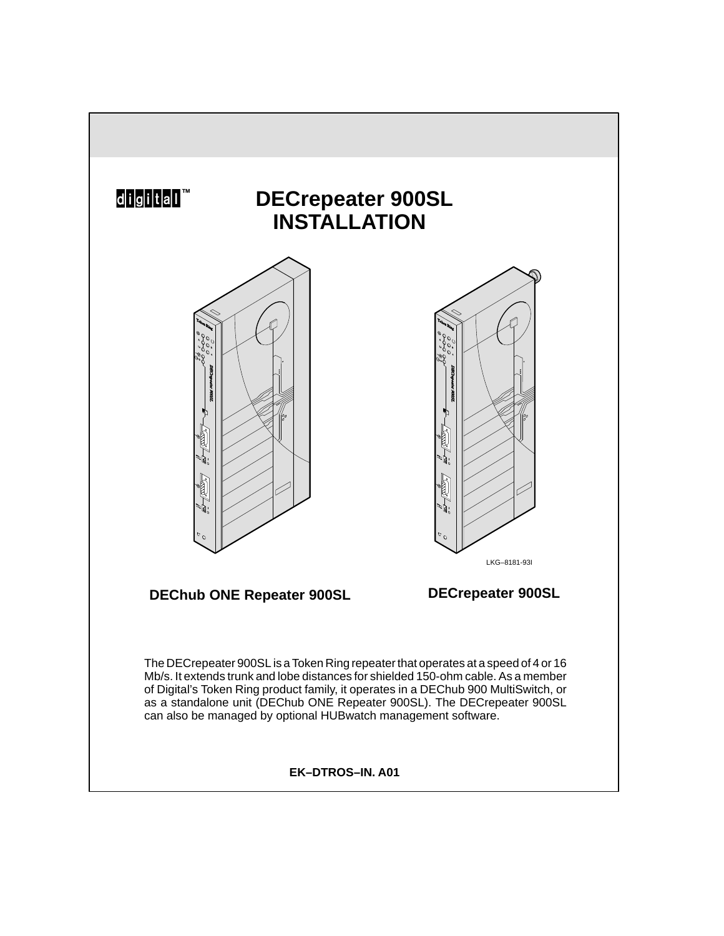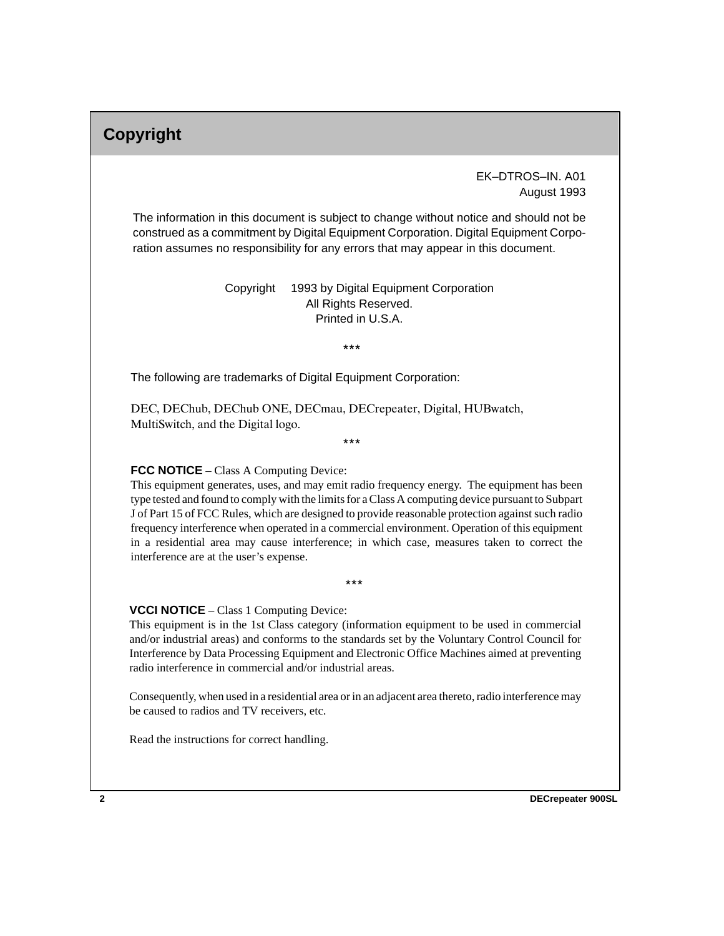# **Copyright**

 EK–DTROS–IN. A01 August 1993

The information in this document is subject to change without notice and should not be construed as a commitment by Digital Equipment Corporation. Digital Equipment Corporation assumes no responsibility for any errors that may appear in this document.

> Copyright © 1993 by Digital Equipment Corporation All Rights Reserved. Printed in U.S.A.

> > $***$

The following are trademarks of Digital Equipment Corporation:

DEC, DEChub, DEChub ONE, DECmau, DECrepeater, Digital, HUBwatch, MultiSwitch, and the Digital logo.

 $***$ 

#### **FCC NOTICE** – Class A Computing Device:

This equipment generates, uses, and may emit radio frequency energy. The equipment has been type tested and found to comply with the limits for a Class A computing device pursuant to Subpart J of Part 15 of FCC Rules, which are designed to provide reasonable protection against such radio frequency interference when operated in a commercial environment. Operation of this equipment in a residential area may cause interference; in which case, measures taken to correct the interference are at the user's expense.

 $***$ 

#### **VCCI NOTICE** – Class 1 Computing Device:

This equipment is in the 1st Class category (information equipment to be used in commercial and/or industrial areas) and conforms to the standards set by the Voluntary Control Council for Interference by Data Processing Equipment and Electronic Office Machines aimed at preventing radio interference in commercial and/or industrial areas.

Consequently, when used in a residential area or in an adjacent area thereto, radio interference may be caused to radios and TV receivers, etc.

Read the instructions for correct handling.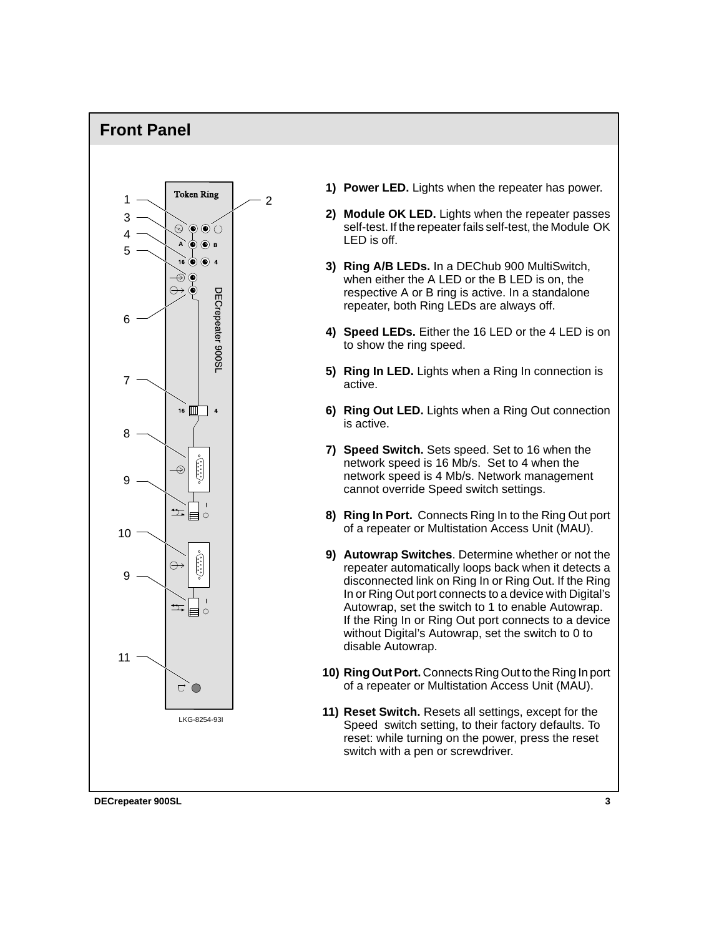### **Front Panel**



- **1) Power LED.** Lights when the repeater has power.
- **2) Module OK LED.** Lights when the repeater passes self-test. If the repeater fails self-test, the Module OK LED is off.
- **3) Ring A/B LEDs.** In a DEChub 900 MultiSwitch, when either the A LED or the B LED is on, the respective A or B ring is active. In a standalone repeater, both Ring LEDs are always off.
- **4) Speed LEDs.** Either the 16 LED or the 4 LED is on to show the ring speed.
- **5) Ring In LED.** Lights when a Ring In connection is active.
- **6) Ring Out LED.** Lights when a Ring Out connection is active.
- **7) Speed Switch.** Sets speed. Set to 16 when the network speed is 16 Mb/s. Set to 4 when the network speed is 4 Mb/s. Network management cannot override Speed switch settings.
- **8) Ring In Port.** Connects Ring In to the Ring Out port of a repeater or Multistation Access Unit (MAU).
- **9) Autowrap Switches**. Determine whether or not the repeater automatically loops back when it detects a disconnected link on Ring In or Ring Out. If the Ring In or Ring Out port connects to a device with Digital's Autowrap, set the switch to 1 to enable Autowrap. If the Ring In or Ring Out port connects to a device without Digital's Autowrap, set the switch to 0 to disable Autowrap.
- **10) Ring Out Port.** Connects Ring Out to the Ring In port of a repeater or Multistation Access Unit (MAU).
- **11) Reset Switch.** Resets all settings, except for the Speed switch setting, to their factory defaults. To reset: while turning on the power, press the reset switch with a pen or screwdriver.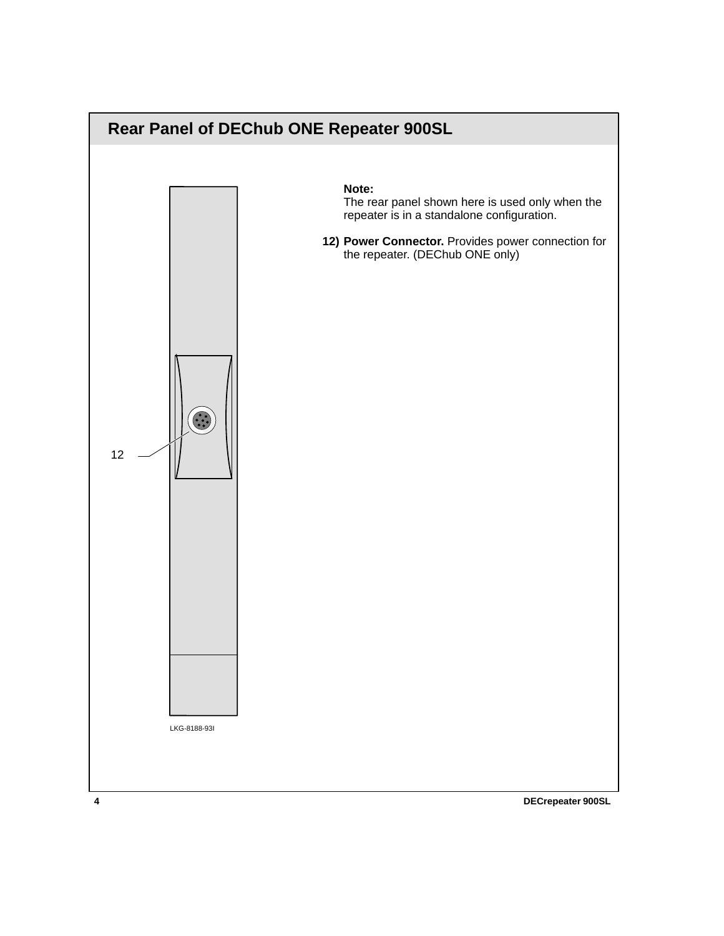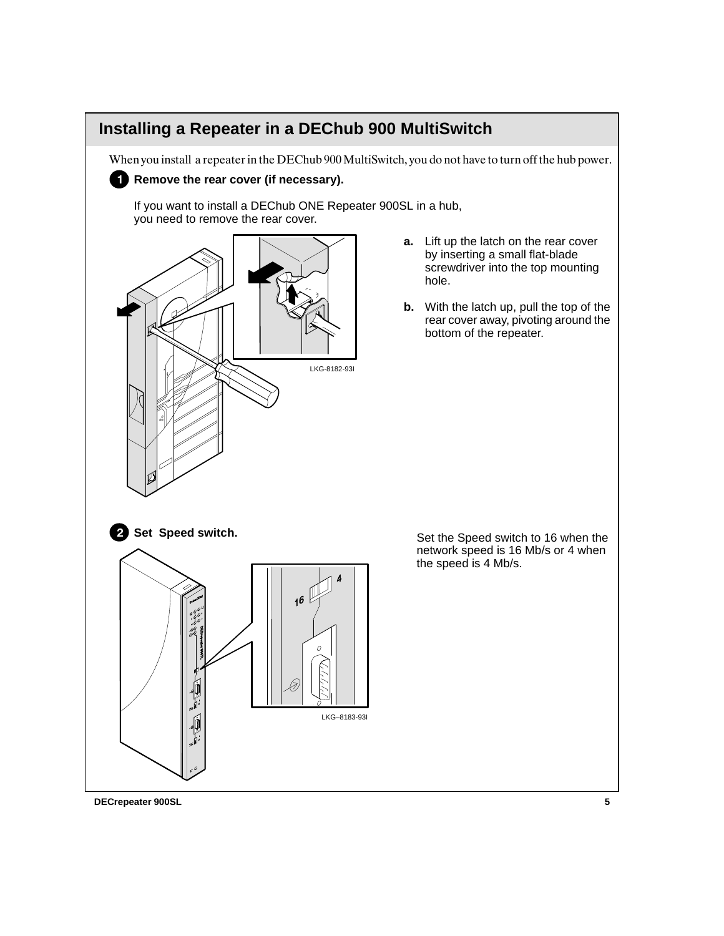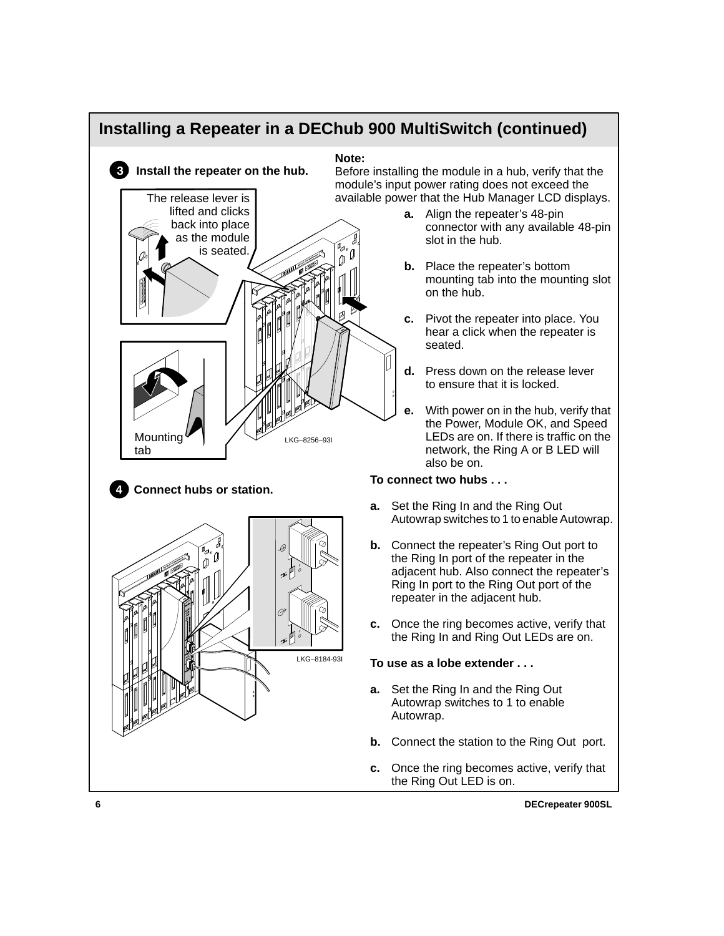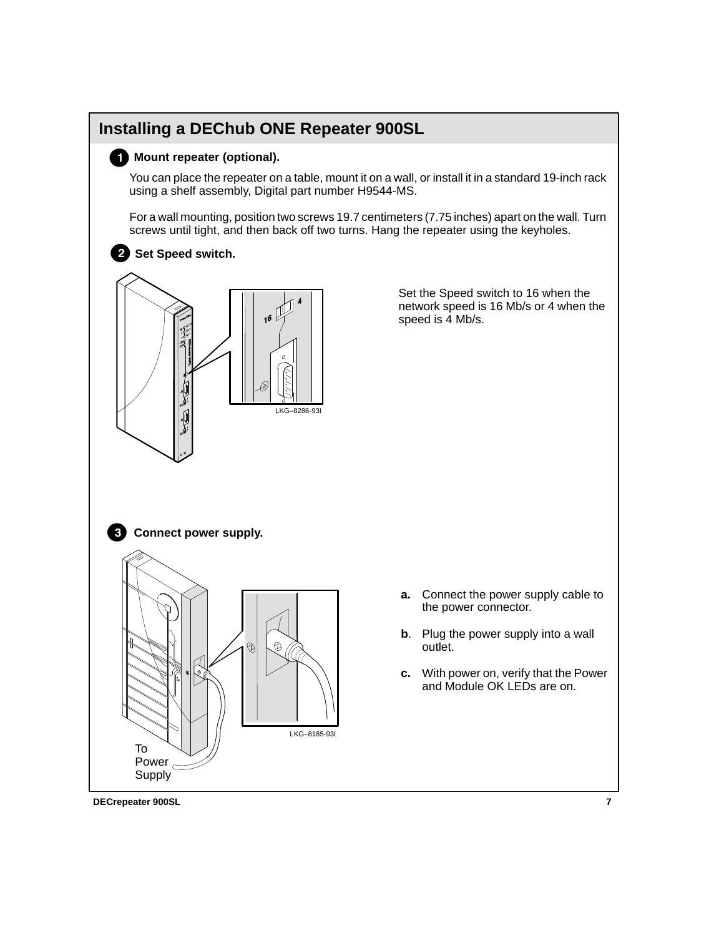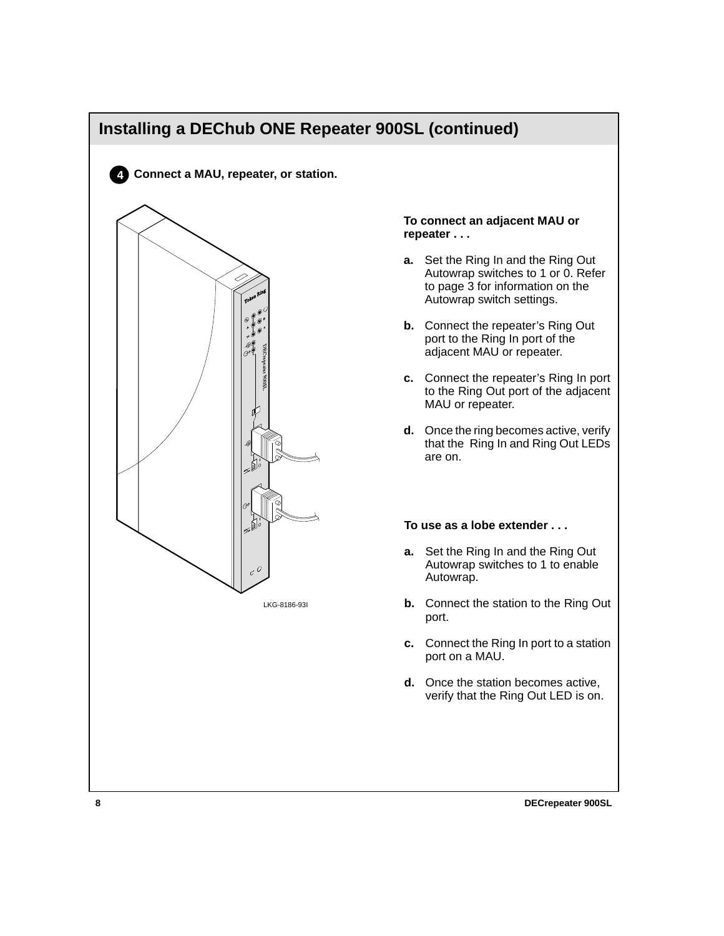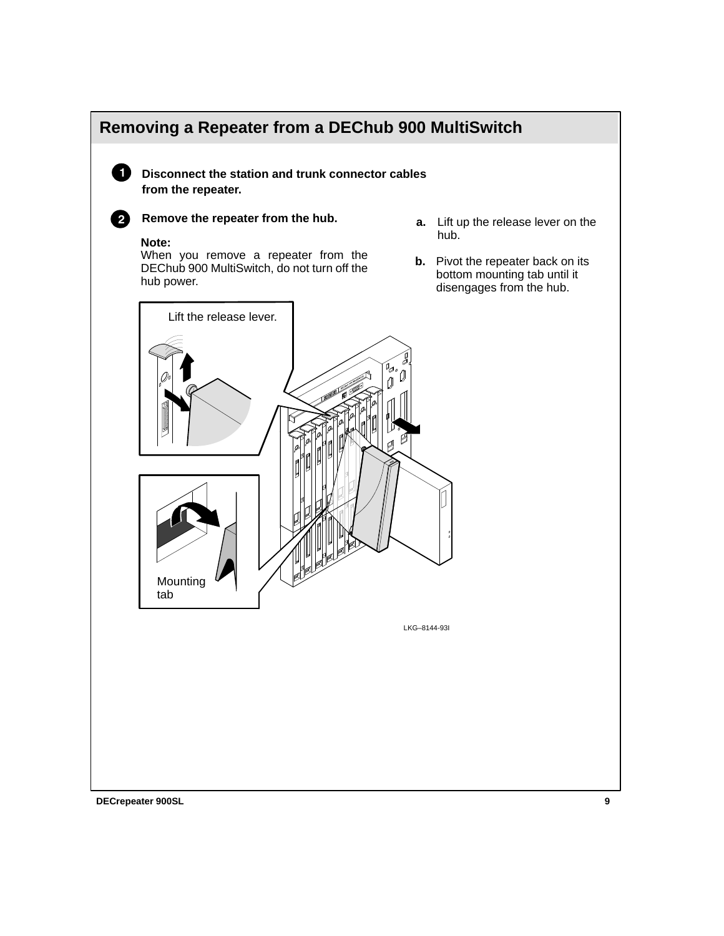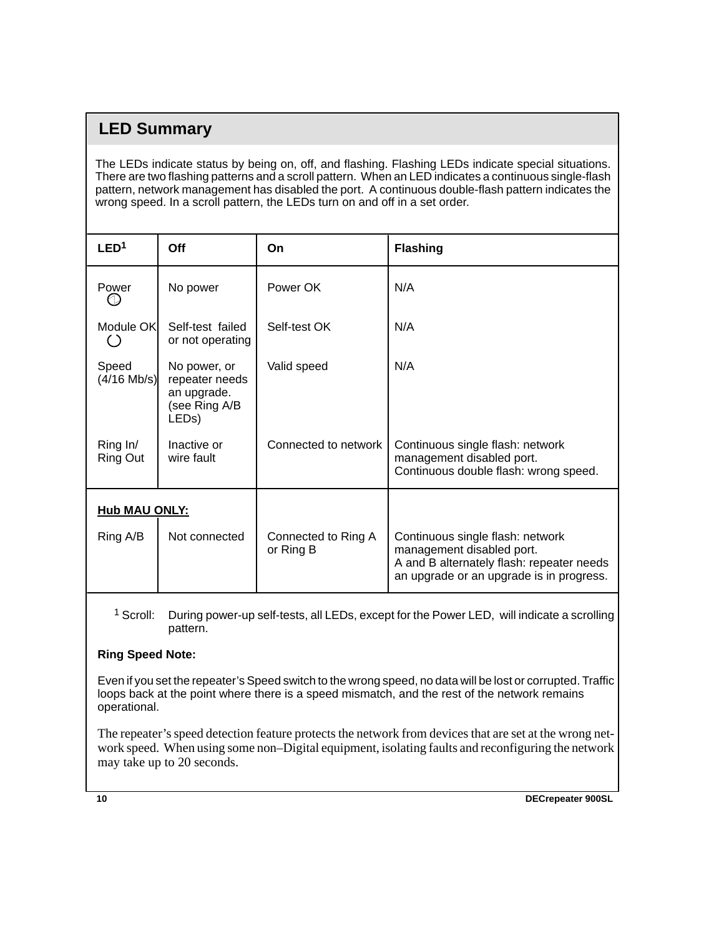## **LED Summary**

The LEDs indicate status by being on, off, and flashing. Flashing LEDs indicate special situations. There are two flashing patterns and a scroll pattern. When an LED indicates a continuous single-flash pattern, network management has disabled the port. A continuous double-flash pattern indicates the wrong speed. In a scroll pattern, the LEDs turn on and off in a set order.

| LED <sup>1</sup>       | Off                                                                                  | On                               | <b>Flashing</b>                                                                                                                                        |
|------------------------|--------------------------------------------------------------------------------------|----------------------------------|--------------------------------------------------------------------------------------------------------------------------------------------------------|
| Power                  | No power                                                                             | Power OK                         | N/A                                                                                                                                                    |
| Module OK              | Self-test failed<br>or not operating                                                 | Self-test OK                     | N/A                                                                                                                                                    |
| Speed<br>$(4/16$ Mb/s) | No power, or<br>repeater needs<br>an upgrade.<br>(see Ring A/B<br>LED <sub>s</sub> ) | Valid speed                      | N/A                                                                                                                                                    |
| Ring In/<br>Ring Out   | Inactive or<br>wire fault                                                            | Connected to network             | Continuous single flash: network<br>management disabled port.<br>Continuous double flash: wrong speed.                                                 |
| <b>Hub MAU ONLY:</b>   |                                                                                      |                                  |                                                                                                                                                        |
| Ring A/B               | Not connected                                                                        | Connected to Ring A<br>or Ring B | Continuous single flash: network<br>management disabled port.<br>A and B alternately flash: repeater needs<br>an upgrade or an upgrade is in progress. |

<sup>1</sup> Scroll: During power-up self-tests, all LEDs, except for the Power LED, will indicate a scrolling pattern.

### **Ring Speed Note:**

Even if you set the repeater's Speed switch to the wrong speed, no data will be lost or corrupted. Traffic loops back at the point where there is a speed mismatch, and the rest of the network remains operational.

The repeater's speed detection feature protects the network from devices that are set at the wrong network speed. When using some non–Digital equipment, isolating faults and reconfiguring the network may take up to 20 seconds.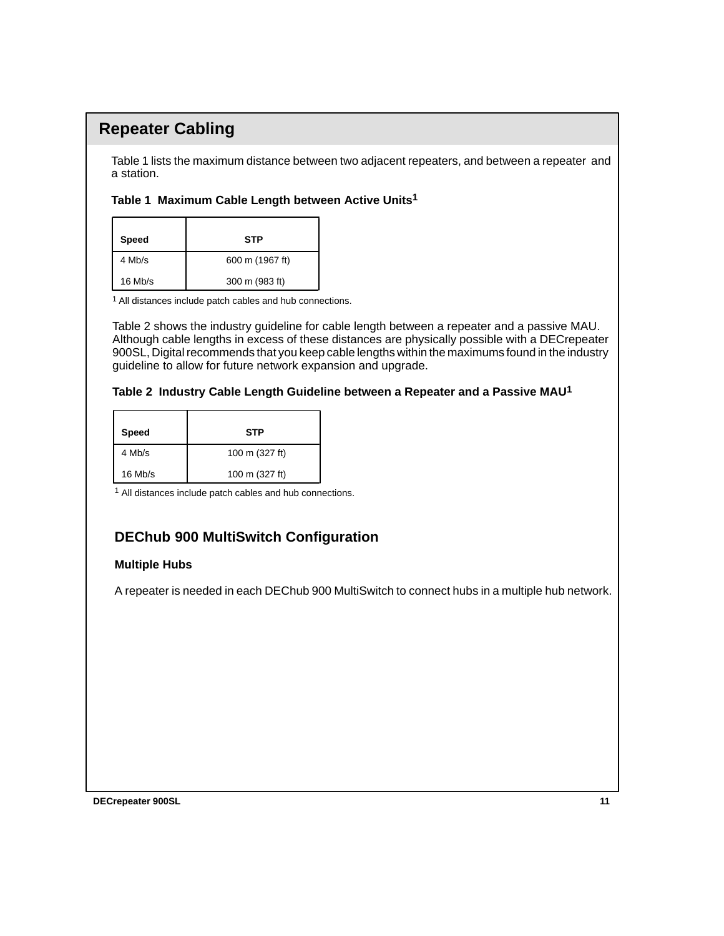## **Repeater Cabling**

Table 1 lists the maximum distance between two adjacent repeaters, and between a repeater and a station.

### **Table 1 Maximum Cable Length between Active Units1**

| Speed     | STP             |
|-----------|-----------------|
| 4 Mb/s    | 600 m (1967 ft) |
| $16$ Mb/s | 300 m (983 ft)  |

1 All distances include patch cables and hub connections.

Table 2 shows the industry guideline for cable length between a repeater and a passive MAU. Although cable lengths in excess of these distances are physically possible with a DECrepeater 900SL, Digital recommends that you keep cable lengths within the maximums found in the industry guideline to allow for future network expansion and upgrade.

#### **Table 2 Industry Cable Length Guideline between a Repeater and a Passive MAU1**

| <b>Speed</b> | STP            |
|--------------|----------------|
| 4 Mb/s       | 100 m (327 ft) |
| $16$ Mb/s    | 100 m (327 ft) |

1 All distances include patch cables and hub connections.

### **DEChub 900 MultiSwitch Configuration**

### **Multiple Hubs**

A repeater is needed in each DEChub 900 MultiSwitch to connect hubs in a multiple hub network.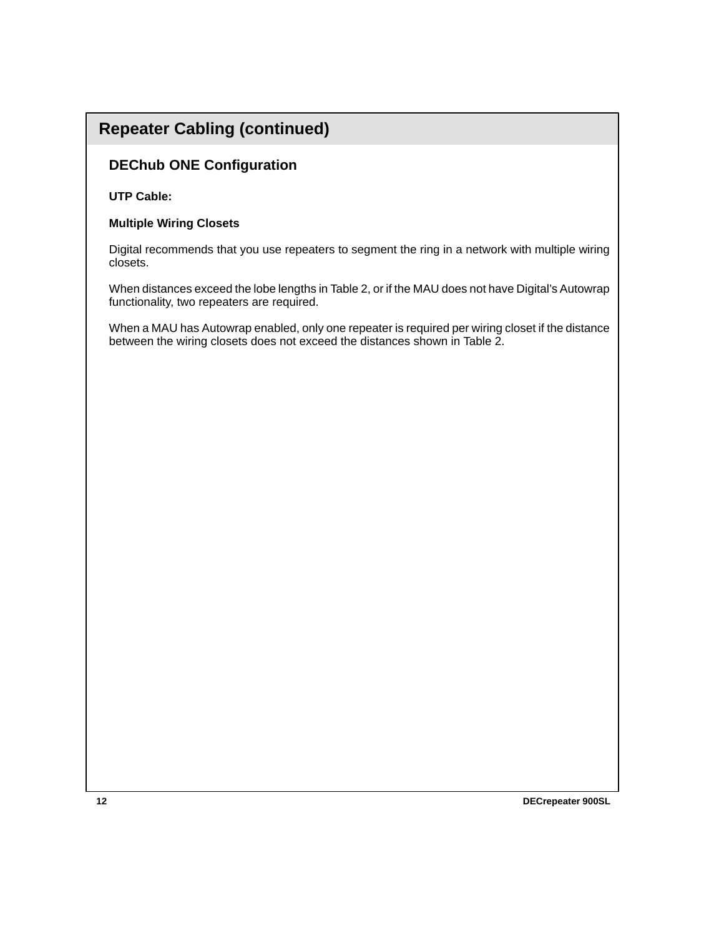### **Repeater Cabling (continued)**

### **DEChub ONE Configuration**

#### **UTP Cable:**

#### **Multiple Wiring Closets**

Digital recommends that you use repeaters to segment the ring in a network with multiple wiring closets.

When distances exceed the lobe lengths in Table 2, or if the MAU does not have Digital's Autowrap functionality, two repeaters are required.

When a MAU has Autowrap enabled, only one repeater is required per wiring closet if the distance between the wiring closets does not exceed the distances shown in Table 2.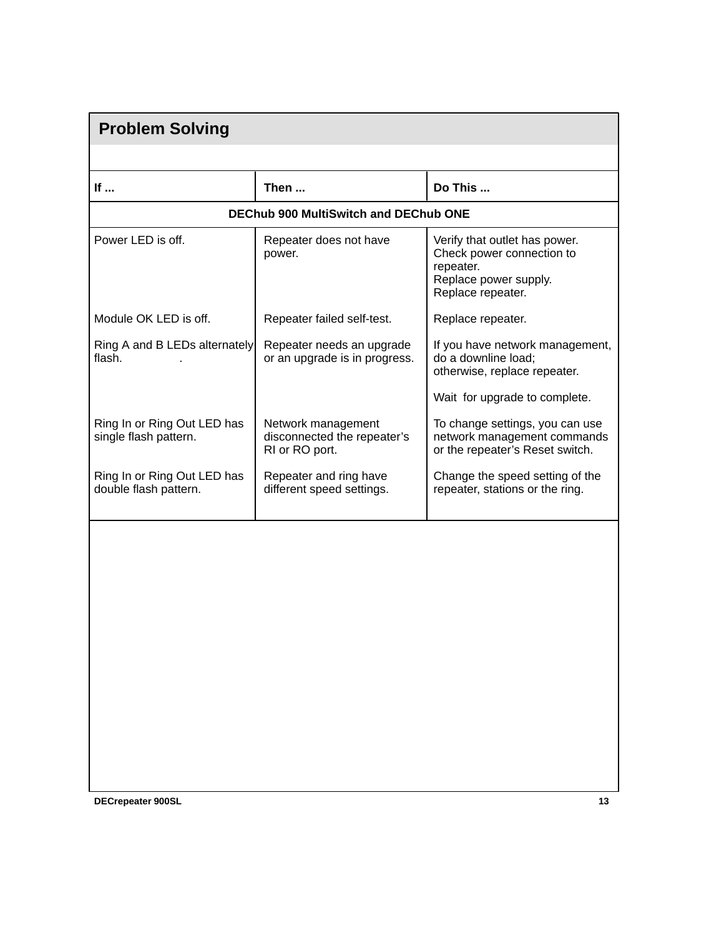| <b>Problem Solving</b>                               |                                                                     |                                                                                                                       |  |  |  |
|------------------------------------------------------|---------------------------------------------------------------------|-----------------------------------------------------------------------------------------------------------------------|--|--|--|
|                                                      |                                                                     |                                                                                                                       |  |  |  |
| If                                                   | Then                                                                | Do This                                                                                                               |  |  |  |
| <b>DEChub 900 MultiSwitch and DEChub ONE</b>         |                                                                     |                                                                                                                       |  |  |  |
| Power LED is off.                                    | Repeater does not have<br>power.                                    | Verify that outlet has power.<br>Check power connection to<br>repeater.<br>Replace power supply.<br>Replace repeater. |  |  |  |
| Module OK LED is off.                                | Repeater failed self-test.                                          | Replace repeater.                                                                                                     |  |  |  |
| Ring A and B LEDs alternately<br>flash.              | Repeater needs an upgrade<br>or an upgrade is in progress.          | If you have network management,<br>do a downline load;<br>otherwise, replace repeater.                                |  |  |  |
|                                                      |                                                                     | Wait for upgrade to complete.                                                                                         |  |  |  |
| Ring In or Ring Out LED has<br>single flash pattern. | Network management<br>disconnected the repeater's<br>RI or RO port. | To change settings, you can use<br>network management commands<br>or the repeater's Reset switch.                     |  |  |  |
| Ring In or Ring Out LED has<br>double flash pattern. | Repeater and ring have<br>different speed settings.                 | Change the speed setting of the<br>repeater, stations or the ring.                                                    |  |  |  |
|                                                      |                                                                     |                                                                                                                       |  |  |  |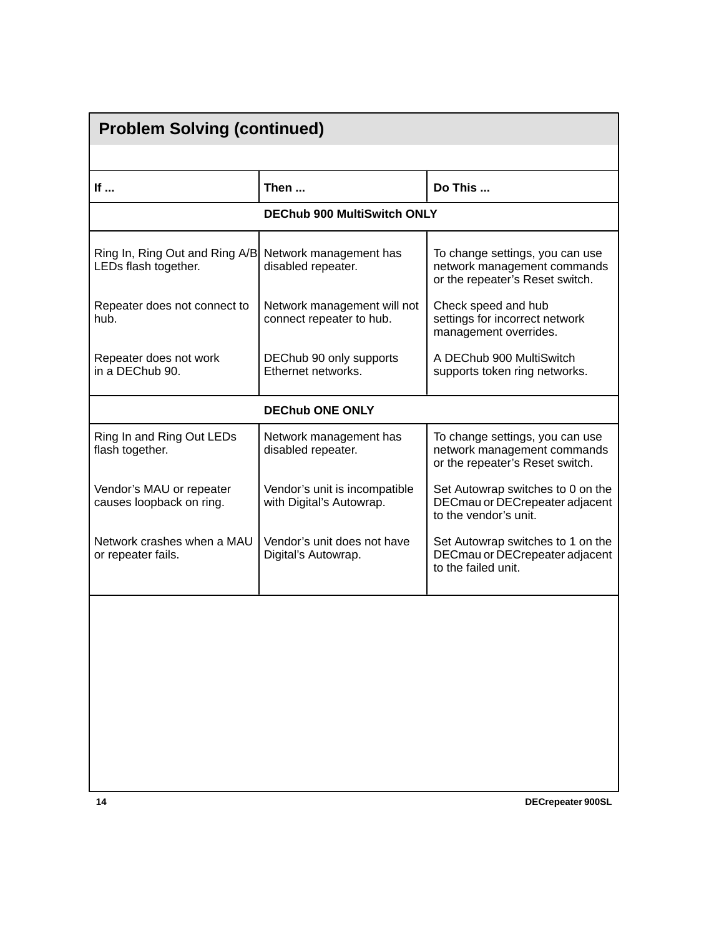| <b>Problem Solving (continued)</b>                     |                                                           |                                                                                                   |  |  |  |
|--------------------------------------------------------|-----------------------------------------------------------|---------------------------------------------------------------------------------------------------|--|--|--|
|                                                        |                                                           |                                                                                                   |  |  |  |
| If                                                     | Then                                                      | Do This                                                                                           |  |  |  |
| <b>DEChub 900 MultiSwitch ONLY</b>                     |                                                           |                                                                                                   |  |  |  |
| Ring In, Ring Out and Ring A/B<br>LEDs flash together. | Network management has<br>disabled repeater.              | To change settings, you can use<br>network management commands<br>or the repeater's Reset switch. |  |  |  |
| Repeater does not connect to<br>hub.                   | Network management will not<br>connect repeater to hub.   | Check speed and hub<br>settings for incorrect network<br>management overrides.                    |  |  |  |
| Repeater does not work<br>in a DEChub 90.              | DEChub 90 only supports<br>Ethernet networks.             | A DEChub 900 MultiSwitch<br>supports token ring networks.                                         |  |  |  |
|                                                        | <b>DEChub ONE ONLY</b>                                    |                                                                                                   |  |  |  |
| Ring In and Ring Out LEDs<br>flash together.           | Network management has<br>disabled repeater.              | To change settings, you can use<br>network management commands<br>or the repeater's Reset switch. |  |  |  |
| Vendor's MAU or repeater<br>causes loopback on ring.   | Vendor's unit is incompatible<br>with Digital's Autowrap. | Set Autowrap switches to 0 on the<br>DECmau or DECrepeater adjacent<br>to the vendor's unit.      |  |  |  |
| Network crashes when a MAU<br>or repeater fails.       | Vendor's unit does not have<br>Digital's Autowrap.        | Set Autowrap switches to 1 on the<br>DECmau or DECrepeater adjacent<br>to the failed unit.        |  |  |  |
|                                                        |                                                           |                                                                                                   |  |  |  |
|                                                        |                                                           |                                                                                                   |  |  |  |
|                                                        |                                                           |                                                                                                   |  |  |  |
|                                                        |                                                           |                                                                                                   |  |  |  |
|                                                        |                                                           |                                                                                                   |  |  |  |
|                                                        |                                                           |                                                                                                   |  |  |  |
| 14                                                     |                                                           | DECrepeater 900SL                                                                                 |  |  |  |